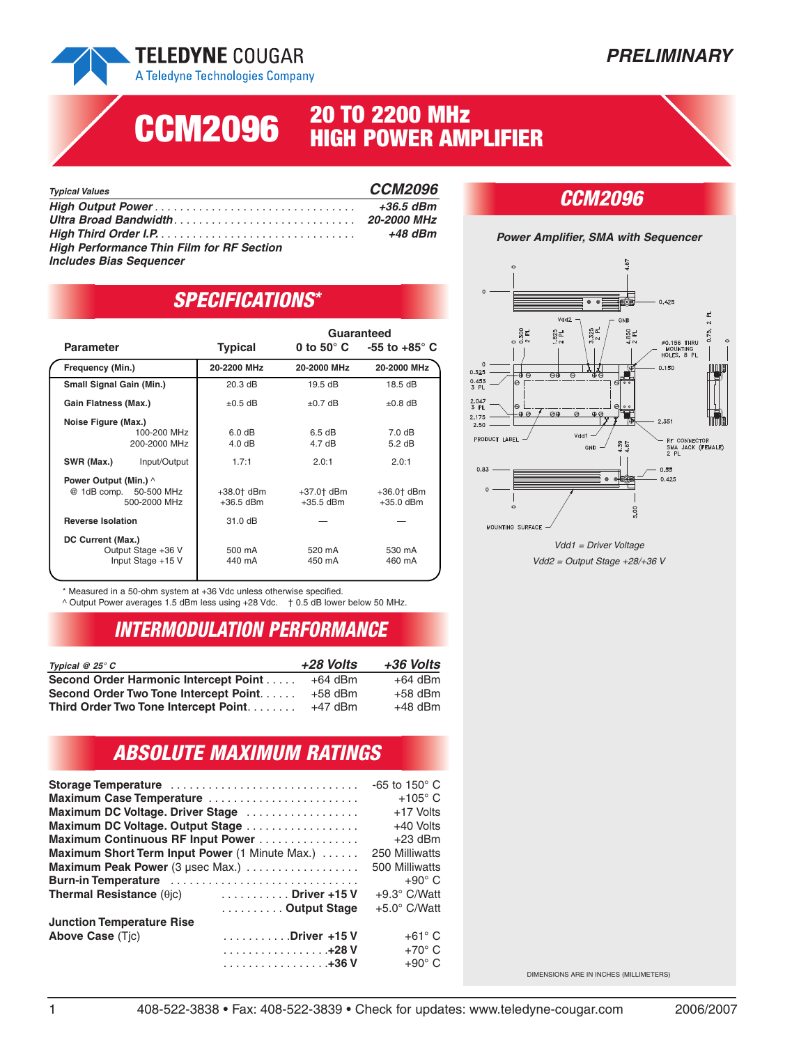## **TELEDYNE COUGAR**

A Teledyne Technologies Company

# **20 TO 2200 MHz CCM2096 HIGH POWER AMPLIFIER**

| <b>Typical Values</b>                            | <b>CCM2096</b> |
|--------------------------------------------------|----------------|
|                                                  | $+36.5$ dBm    |
|                                                  |                |
|                                                  | +48 dBm        |
| <b>High Performance Thin Film for RF Section</b> |                |
| <b>Includes Bias Sequencer</b>                   |                |

#### *CCM2096*



Vdd1 = Driver Voltage Vdd2 = Output Stage +28/+36 V

#### *SPECIFICATIONS\**

|                                             |                                         |                           | Guaranteed                 |                                                |
|---------------------------------------------|-----------------------------------------|---------------------------|----------------------------|------------------------------------------------|
| <b>Parameter</b>                            |                                         | <b>Typical</b>            |                            | 0 to 50 $^{\circ}$ C $-55$ to +85 $^{\circ}$ C |
| Frequency (Min.)                            |                                         | 20-2200 MHz               | 20-2000 MHz                | 20-2000 MHz                                    |
| <b>Small Signal Gain (Min.)</b>             |                                         | 20.3 dB                   | 19.5dB                     | 18.5dB                                         |
| Gain Flatness (Max.)                        |                                         | $\pm 0.5$ dB              | $\pm 0.7$ dB               | $\pm 0.8$ dB                                   |
| Noise Figure (Max.)                         | 100-200 MHz<br>200-2000 MHz             | 6.0 dB<br>4.0 dB          | 6.5 dB<br>$4.7 \text{ dB}$ | $7.0 \text{ dB}$<br>$5.2$ dB                   |
| SWR (Max.)                                  | Input/Output                            | 1.7:1                     | 2.0:1                      | 2.0:1                                          |
| <b>Power Output (Min.)</b> ^<br>@ 1dB comp. | 50-500 MHz<br>500-2000 MHz              | +38.0† dBm<br>$+36.5$ dBm | $+37.0$ dBm<br>$+35.5$ dBm | $+36.0$ dBm<br>$+35.0$ dBm                     |
| <b>Reverse Isolation</b>                    |                                         | 31.0 dB                   |                            |                                                |
| DC Current (Max.)                           | Output Stage +36 V<br>Input Stage +15 V | 500 mA<br>440 mA          | 520 mA<br>450 mA           | 530 mA<br>460 mA                               |

\* Measured in a 50-ohm system at +36 Vdc unless otherwise specified.

^ Output Power averages 1.5 dBm less using +28 Vdc. † 0.5 dB lower below 50 MHz.

#### *INTERMODULATION PERFORMANCE*

| Typical $@25°C$                        | +28 Volts | +36 Volts |
|----------------------------------------|-----------|-----------|
| Second Order Harmonic Intercept Point  | $+64$ dBm | $+64$ dBm |
| Second Order Two Tone Intercept Point. | $+58$ dBm | $+58$ dBm |
| Third Order Two Tone Intercept Point   | $+47$ dBm | $+48$ dBm |

### *ABSOLUTE MAXIMUM RATINGS*

| Storage Temperature                            |                  | -65 to 150 $^{\circ}$ C |
|------------------------------------------------|------------------|-------------------------|
| Maximum Case Temperature                       |                  | $+105^\circ$ C          |
| Maximum DC Voltage. Driver Stage               |                  | +17 Volts               |
| Maximum DC Voltage. Output Stage               |                  | +40 Volts               |
| Maximum Continuous RF Input Power              |                  | $+23$ dBm               |
| Maximum Short Term Input Power (1 Minute Max.) |                  | 250 Milliwatts          |
| Maximum Peak Power (3 µsec Max.)               |                  | 500 Milliwatts          |
| Burn-in Temperature                            |                  | $+90^{\circ}$ C         |
| Thermal Resistance $(\theta c)$ Driver +15 V   |                  | $+9.3^{\circ}$ C/Watt   |
|                                                | Output Stage     | $+5.0^{\circ}$ C/Watt   |
| <b>Junction Temperature Rise</b>               |                  |                         |
| <b>Above Case (Tic)</b>                        | Driver +15 V     | $+61^{\circ}$ C         |
|                                                | . 428 V          | $+70^\circ$ C           |
|                                                | . <b>. 436 V</b> | $+90^{\circ}$ C         |

DIMENSIONS ARE IN INCHES (MILLIMETERS)